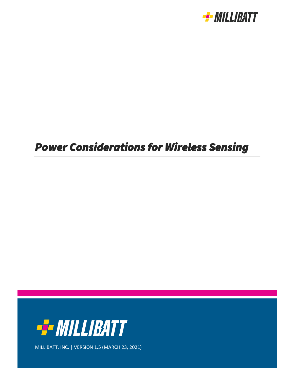

# *Power Considerations for Wireless Sensing*



MILLIBATT, INC. | VERSION 1.5 (MARCH 23, 2021)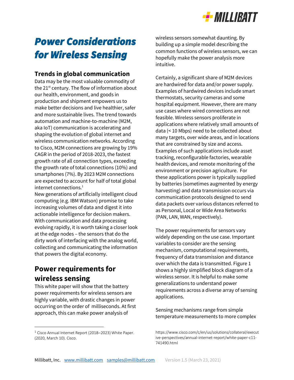

## *Power Considerations for Wireless Sensing*

#### **Trends in global communication**

Data may be the most valuable commodity of the  $21^{st}$  century. The flow of information about our health, environment, and goods in production and shipment empowers us to make better decisions and live healthier, safer and more sustainable lives. The trend towards automation and machine-to-machine (M2M, aka IoT) communication is accelerating and shaping the evolution of global internet and wireless communication networks. According to Cisco, M2M connections are growing by 19% CAGR in the period of 2018-2023, the fastest growth rate of all connection types, exceeding the growth rate of total connections (10%) and smartphones (7%). By 2023 M2M connections are expected to account for half of total global internet connections.<sup>1</sup>

New generations of artificially intelligent cloud computing (e.g. IBM Watson) promise to take increasing volumes of data and digest it into actionable intelligence for decision makers. With communication and data processing evolving rapidly, it is worth taking a closer look at the edge nodes – the sensors that do the dirty work of interfacing with the analog world, collecting and communicating the information that powers the digital economy.

### **Power requirements for wireless sensing**

This white paper will show that the battery power requirements for wireless sensors are highly variable, with drastic changes in power occurring on the order of milliseconds. At first approach, this can make power analysis of

wireless sensors somewhat daunting. By building up a simple model describing the common functions of wireless sensors, we can hopefully make the power analysis more intuitive.

Certainly, a significant share of M2M devices are hardwired for data and/or power supply. Examples of hardwired devices include smart thermostats, security cameras and some hospital equipment. However, there are many use cases where wired connections are not feasible. Wireless sensors proliferate in applications where relatively small amounts of data (< 10 Mbps) need to be collected about many targets, over wide areas, and in locations that are constrained by size and access. Examples of such applications include asset tracking, reconfigurable factories, wearable health devices, and remote monitoring of the environment or precision agriculture. For these applications power is typically supplied by batteries (sometimes augmented by energy harvesting) and data transmission occurs via communication protocols designed to send data packets over various distances referred to as Personal, Local or Wide Area Networks (PAN, LAN, WAN, respectively).

The power requirements for sensors vary widely depending on the use case. Important variables to consider are the sensing mechanism, computational requirements, frequency of data transmission and distance over which the data is transmitted. Figure 1 shows a highly simplified block diagram of a wireless sensor. It is helpful to make some generalizations to understand power requirements across a diverse array of sensing applications.

Sensing mechanisms range from simple temperature measurements to more complex

<sup>&</sup>lt;sup>1</sup> Cisco Annual Internet Report (2018–2023) White Paper. (2020, March 10). Cisco.

https://www.cisco.com/c/en/us/solutions/collateral/execut ive-perspectives/annual-internet-report/white-paper-c11- 741490.html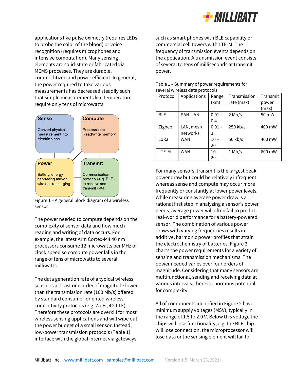

applications like pulse oximetry (requires LEDs to probe the color of the blood) or voice recognition (requires microphones and intensive computation). Many sensing elements are solid-state or fabricated via MEMS processes. They are durable, commoditized and power efficient. In general, the power required to take various measurements has decreased steadily such that simple measurements like temperature require only tens of microwatts.



Figure 1 – A general block diagram of a wireless sensor

The power needed to compute depends on the complexity of sensor data and how much reading and writing of data occurs. For example, the latest Arm Cortex-M4 40 nm processors consume 12 microwatts per MHz of clock speed so compute power falls in the range of tens of microwatts to several milliwatts.

The data generation rate of a typical wireless sensor is at least one order of magnitude lower than the transmission rate (100 Mb/s) offered by standard consumer-oriented wireless connectivity protocols (e.g. Wi-Fi, 4G LTE). Therefore these protocols are overkill for most wireless sensing applications and will wipe out the power budget of a small sensor. Instead, low-power transmission protocols (Table 1) interface with the global internet via gateways

such as smart phones with BLE capability or commercial cell towers with LTE-M. The frequency of transmission events depends on the application. A transmission event consists of several to tens of milliseconds at transmit power.

|            | SEVEI AL WII EIESS UATA DI UTULUIS |          |              |          |
|------------|------------------------------------|----------|--------------|----------|
| Protocol   | Applications                       | Range    | Transmission | Transmit |
|            |                                    | (km)     | rate (max)   | power    |
|            |                                    |          |              | (max)    |
| <b>BLE</b> | PAN, LAN                           | $0.01 -$ | $2$ Mb/s     | 50 mW    |
|            |                                    | 0.4      |              |          |
| Zigbee     | LAN, mesh                          | $0.01 -$ | 250 kb/s     | 400 mW   |
|            | networks                           | 3        |              |          |
| LoRa       | <b>WAN</b>                         | $10 -$   | 50 kb/s      | 400 mW   |
|            |                                    | 20       |              |          |
| LTE-M      | <b>WAN</b>                         | $10 -$   | $1$ Mb/s     | 600 mW   |
|            |                                    | 20       |              |          |

#### Table 1 – Summary of power requirements for several wireless data protocols

For many sensors, transmit is the largest peak power draw but could be relatively infrequent, whereas sense and compute may occur more frequently or constantly at lower power levels. While measuring average power draw is a rational first step in analyzing a sensor's power needs, average power will often fail to predict real-world performance for a battery-powered sensor. The combination of various power draws with varying frequencies results in additive, harmonic power profiles that strain the electrochemistry of batteries. Figure 2 charts the power requirements for a variety of sensing and transmission mechanisms. The power needed varies over four orders of magnitude. Considering that many sensors are multifunctional, sending and receiving data at various intervals, there is enormous potential for complexity.

All of components identified in Figure 2 have minimum supply voltages (MSV), typically in the range of 1.5 to 2.0 V. Below this voltage the chips will lose functionality, e.g. the BLE chip will lose connection, the microprocessor will lose data or the sensing element will fail to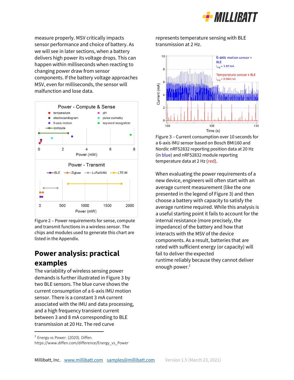

measure properly. MSV critically impacts sensor performance and choice of battery. As we will see in later sections, when a battery delivers high power its voltage drops. This can happen within milliseconds when reacting to changing power draw from sensor components. If the battery voltage approaches MSV, even for milliseconds, the sensor will malfunction and lose data.



Figure 2 – Power requirements for sense, compute and transmit functions in a wireless sensor. The chips and modules used to generate this chart are listed in the Appendix.

## **Power analysis: practical examples**

The variability of wireless sensing power demands is further illustrated in Figure 3 by two BLE sensors. The blue curve shows the current consumption of a 6-axis IMU motion sensor. There is a constant 3 mA current associated with the IMU and data processing, and a high frequency transient current between 3 and 8 mA corresponding to BLE transmission at 20 Hz. The red curve

represents temperature sensing with BLE transmission at 2 Hz.



Figure 3 – Current consumption over 10 seconds for a 6-axis IMU sensor based on Bosch BMI160 and Nordic nRF52832 reporting position data at 20 Hz (in blue) and nRF52832 module reporting temperature data at 2 Hz (red).

When evaluating the power requirements of a new device, engineers will often start with an average current measurement (like the one presented in the legend of Figure 3) and then choose a battery with capacity to satisfy the average runtime required. While this analysis is a useful starting point it fails to account for the internal resistance (more precisely, the impedance) of the battery and how that interacts with the MSV of the device components. As a result, batteries that are rated with sufficient energy (or capacity) will fail to deliver the expected runtime reliably because they cannot deliver enough power.<sup>2</sup>

<sup>&</sup>lt;sup>2</sup> Energy vs Power. (2020). Diffen.

https://www.diffen.com/difference/Energy\_vs\_Power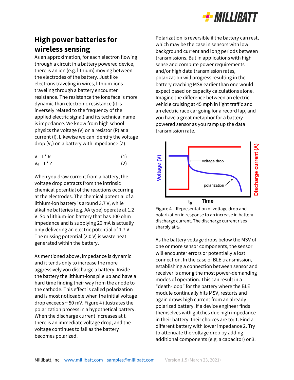

## **High power batteries for wireless sensing**

As an approximation, for each electron flowing through a circuit in a battery powered device, there is an ion (e.g. lithium) moving between the electrodes of the battery. Just like electrons traveling in wires, lithium-ions traveling through a battery encounter resistance. The resistance the ions face is more dynamic than electronic resistance (it is inversely related to the frequency of the applied electric signal) and its technical name is impedance. We know from high school physics the voltage (V) on a resistor (R) at a current (I). Likewise we can identify the voltage drop  $(V_d)$  on a battery with impedance  $(Z)$ .

| $V = I^* R$       | (1) |
|-------------------|-----|
| $V_d = I \cdot Z$ | (2) |

When you draw current from a battery, the voltage drop detracts from the intrinsic chemical potential of the reactions occurring at the electrodes. The chemical potential of a lithium-ion battery is around 3.7 V, while alkaline batteries (e.g. AA type) operate at 1.2 V. So a lithium-ion battery that has 100 ohm impedance and is supplying 20 mA is actually only delivering an electric potential of 1.7 V. The missing potential (2.0 V) is waste heat generated within the battery.

As mentioned above, impedance is dynamic and it tends only to increase the more aggressively you discharge a battery. Inside the battery the lithium-ions pile up and have a hard time finding their way from the anode to the cathode. This effect is called polarization and is most noticeable when the initial voltage drop exceeds ~ 50 mV. Figure 4 illustrates the polarization process in a hypothetical battery. When the discharge current increases at  $t_0$ there is an immediate voltage drop, and the voltage continues to fall as the battery becomes polarized.

Polarization is reversible if the battery can rest, which may be the case in sensors with low background current and long periods between transmissions. But in applications with high sense and compute power requirements and/or high data transmission rates, polarization will progress resulting in the battery reaching MSV earlier than one would expect based on capacity calculations alone. Imagine the difference between an electric vehicle cruising at 45 mph in light traffic and an electric race car going for a record lap, and you have a great metaphor for a batterypowered sensor as you ramp up the data transmission rate.



Figure 4 – Representation of voltage drop and polarization in response to an increase in battery discharge current. The discharge current rises sharply at  $t_0$ .

As the battery voltage drops below the MSV of one or more sensor components, the sensor will encounter errors or potentially a lost connection. In the case of BLE transmission, establishing a connection between sensor and receiver is among the most power-demanding modes of operation. This can result in a "death-loop" for the battery where the BLE module continually hits MSV, restarts and again draws high current from an already polarized battery. If a device engineer finds themselves with glitches due high impedance in their battery, their choices are to: 1. Find a different battery with lower impedance 2. Try to attenuate the voltage drop by adding additional components (e.g. a capacitor) or 3.